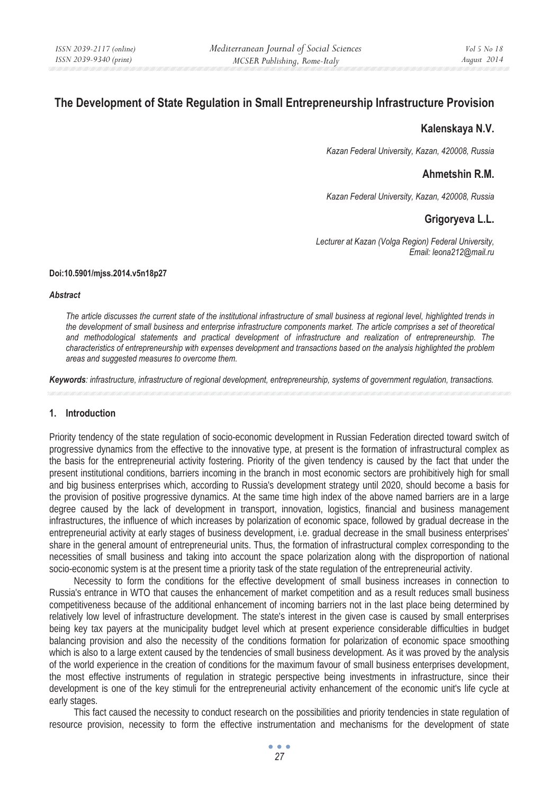# **The Development of State Regulation in Small Entrepreneurship Infrastructure Provision**

## **Kalenskaya N.V.**

*Kazan Federal University, Kazan, 420008, Russia* 

## **Ahmetshin R.M.**

*Kazan Federal University, Kazan, 420008, Russia* 

## **Grigoryeva L.L.**

*Lecturer at Kazan (Volga Region) Federal University, Email: leona212@mail.ru* 

#### **Doi:10.5901/mjss.2014.v5n18p27**

#### *Abstract*

*The article discusses the current state of the institutional infrastructure of small business at regional level, highlighted trends in the development of small business and enterprise infrastructure components market. The article comprises a set of theoretical and methodological statements and practical development of infrastructure and realization of entrepreneurship. The characteristics of entrepreneurship with expenses development and transactions based on the analysis highlighted the problem areas and suggested measures to overcome them.* 

*Keywords: infrastructure, infrastructure of regional development, entrepreneurship, systems of government regulation, transactions.* 

### **1. Introduction**

Priority tendency of the state regulation of socio-economic development in Russian Federation directed toward switch of progressive dynamics from the effective to the innovative type, at present is the formation of infrastructural complex as the basis for the entrepreneurial activity fostering. Priority of the given tendency is caused by the fact that under the present institutional conditions, barriers incoming in the branch in most economic sectors are prohibitively high for small and big business enterprises which, according to Russia's development strategy until 2020, should become a basis for the provision of positive progressive dynamics. At the same time high index of the above named barriers are in a large degree caused by the lack of development in transport, innovation, logistics, financial and business management infrastructures, the influence of which increases by polarization of economic space, followed by gradual decrease in the entrepreneurial activity at early stages of business development, i.e. gradual decrease in the small business enterprises' share in the general amount of entrepreneurial units. Thus, the formation of infrastructural complex corresponding to the necessities of small business and taking into account the space polarization along with the disproportion of national socio-economic system is at the present time a priority task of the state regulation of the entrepreneurial activity.

Necessity to form the conditions for the effective development of small business increases in connection to Russia's entrance in WTO that causes the enhancement of market competition and as a result reduces small business competitiveness because of the additional enhancement of incoming barriers not in the last place being determined by relatively low level of infrastructure development. The state's interest in the given case is caused by small enterprises being key tax payers at the municipality budget level which at present experience considerable difficulties in budget balancing provision and also the necessity of the conditions formation for polarization of economic space smoothing which is also to a large extent caused by the tendencies of small business development. As it was proved by the analysis of the world experience in the creation of conditions for the maximum favour of small business enterprises development, the most effective instruments of regulation in strategic perspective being investments in infrastructure, since their development is one of the key stimuli for the entrepreneurial activity enhancement of the economic unit's life cycle at early stages.

This fact caused the necessity to conduct research on the possibilities and priority tendencies in state regulation of resource provision, necessity to form the effective instrumentation and mechanisms for the development of state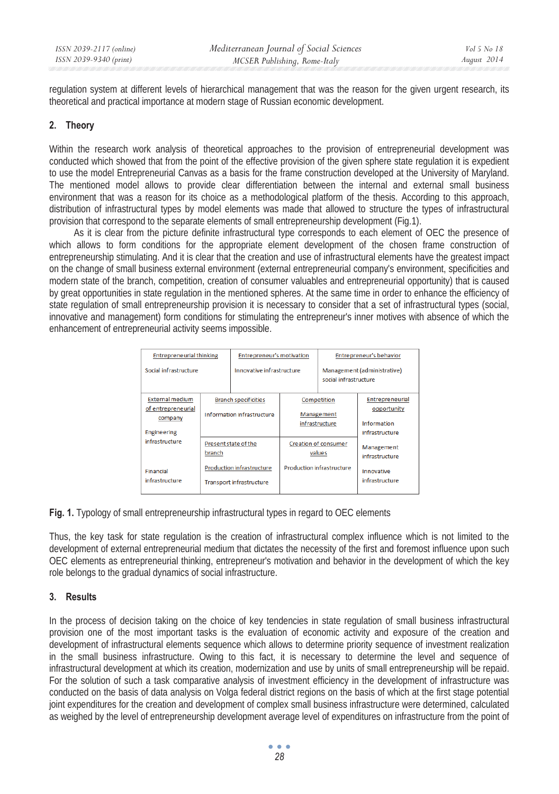regulation system at different levels of hierarchical management that was the reason for the given urgent research, its theoretical and practical importance at modern stage of Russian economic development.

### **2. Theory**

Within the research work analysis of theoretical approaches to the provision of entrepreneurial development was conducted which showed that from the point of the effective provision of the given sphere state regulation it is expedient to use the model Entrepreneurial Canvas as a basis for the frame construction developed at the University of Maryland. The mentioned model allows to provide clear differentiation between the internal and external small business environment that was a reason for its choice as a methodological platform of the thesis. According to this approach, distribution of infrastructural types by model elements was made that allowed to structure the types of infrastructural provision that correspond to the separate elements of small entrepreneurship development (Fig.1).

As it is clear from the picture definite infrastructural type corresponds to each element of OEC the presence of which allows to form conditions for the appropriate element development of the chosen frame construction of entrepreneurship stimulating. And it is clear that the creation and use of infrastructural elements have the greatest impact on the change of small business external environment (external entrepreneurial company's environment, specificities and modern state of the branch, competition, creation of consumer valuables and entrepreneurial opportunity) that is caused by great opportunities in state regulation in the mentioned spheres. At the same time in order to enhance the efficiency of state regulation of small entrepreneurship provision it is necessary to consider that a set of infrastructural types (social, innovative and management) form conditions for stimulating the entrepreneur's inner motives with absence of which the enhancement of entrepreneurial activity seems impossible.

| <b>Entrepreneurial thinking</b> |                                                           | Entrepreneur's motivation |                                       | Entrepreneur's behavior                              |                              |
|---------------------------------|-----------------------------------------------------------|---------------------------|---------------------------------------|------------------------------------------------------|------------------------------|
| Social infrastructure           |                                                           | Innovative infrastructure |                                       | Management (administrative)<br>social infrastructure |                              |
| <b>External medium</b>          | <b>Branch specificities</b><br>Information infrastructure |                           |                                       | Competition                                          | <b>Entrepreneurial</b>       |
| of entrepreneurial<br>company   |                                                           |                           | Management<br>infrastructure          |                                                      | opportunity<br>Information   |
| <b>Engineering</b>              |                                                           |                           |                                       |                                                      | infrastructure               |
| infrastructure                  | Present state of the<br>branch                            |                           | <b>Creation of consumer</b><br>values |                                                      | Management<br>infrastructure |
| Financial                       | <b>Production infrastructure</b>                          |                           | <b>Production infrastructure</b>      |                                                      | Innovative                   |
| infrastructure                  |                                                           | Transport infrastructure  |                                       |                                                      | infrastructure               |

**Fig. 1.** Typology of small entrepreneurship infrastructural types in regard to OEC elements

Thus, the key task for state regulation is the creation of infrastructural complex influence which is not limited to the development of external entrepreneurial medium that dictates the necessity of the first and foremost influence upon such OEC elements as entrepreneurial thinking, entrepreneur's motivation and behavior in the development of which the key role belongs to the gradual dynamics of social infrastructure.

### **3. Results**

In the process of decision taking on the choice of key tendencies in state regulation of small business infrastructural provision one of the most important tasks is the evaluation of economic activity and exposure of the creation and development of infrastructural elements sequence which allows to determine priority sequence of investment realization in the small business infrastructure. Owing to this fact, it is necessary to determine the level and sequence of infrastructural development at which its creation, modernization and use by units of small entrepreneurship will be repaid. For the solution of such a task comparative analysis of investment efficiency in the development of infrastructure was conducted on the basis of data analysis on Volga federal district regions on the basis of which at the first stage potential joint expenditures for the creation and development of complex small business infrastructure were determined, calculated as weighed by the level of entrepreneurship development average level of expenditures on infrastructure from the point of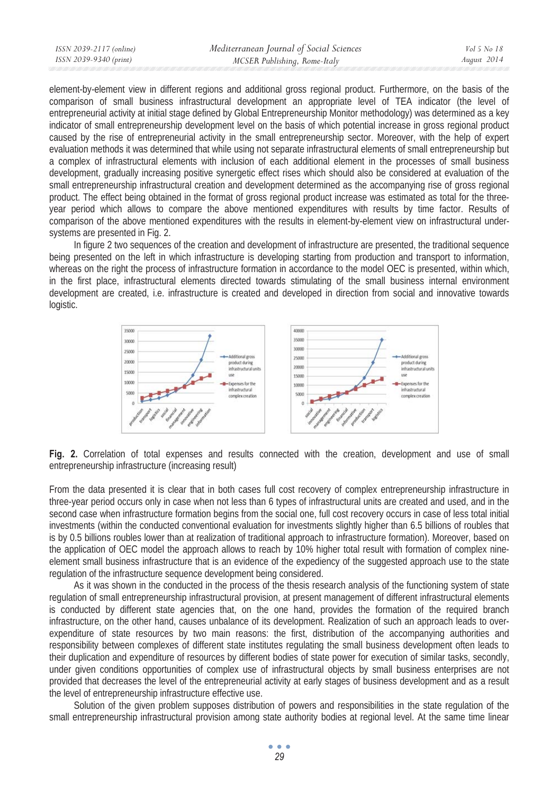| ISSN 2039-2117 (online) | Mediterranean Journal of Social Sciences | Vol 5 No 18 |
|-------------------------|------------------------------------------|-------------|
| ISSN 2039-9340 (print)  | MCSER Publishing, Rome-Italy             | August 2014 |
|                         |                                          |             |

element-by-element view in different regions and additional gross regional product. Furthermore, on the basis of the comparison of small business infrastructural development an appropriate level of TEA indicator (the level of entrepreneurial activity at initial stage defined by Global Entrepreneurship Monitor methodology) was determined as a key indicator of small entrepreneurship development level on the basis of which potential increase in gross regional product caused by the rise of entrepreneurial activity in the small entrepreneurship sector. Moreover, with the help of expert evaluation methods it was determined that while using not separate infrastructural elements of small entrepreneurship but a complex of infrastructural elements with inclusion of each additional element in the processes of small business development, gradually increasing positive synergetic effect rises which should also be considered at evaluation of the small entrepreneurship infrastructural creation and development determined as the accompanying rise of gross regional product. The effect being obtained in the format of gross regional product increase was estimated as total for the threeyear period which allows to compare the above mentioned expenditures with results by time factor. Results of comparison of the above mentioned expenditures with the results in element-by-element view on infrastructural undersystems are presented in Fig. 2.

In figure 2 two sequences of the creation and development of infrastructure are presented, the traditional sequence being presented on the left in which infrastructure is developing starting from production and transport to information, whereas on the right the process of infrastructure formation in accordance to the model OEC is presented, within which, in the first place, infrastructural elements directed towards stimulating of the small business internal environment development are created, i.e. infrastructure is created and developed in direction from social and innovative towards logistic.



**Fig. 2.** Correlation of total expenses and results connected with the creation, development and use of small entrepreneurship infrastructure (increasing result)

From the data presented it is clear that in both cases full cost recovery of complex entrepreneurship infrastructure in three-year period occurs only in case when not less than 6 types of infrastructural units are created and used, and in the second case when infrastructure formation begins from the social one, full cost recovery occurs in case of less total initial investments (within the conducted conventional evaluation for investments slightly higher than 6.5 billions of roubles that is by 0.5 billions roubles lower than at realization of traditional approach to infrastructure formation). Moreover, based on the application of OEC model the approach allows to reach by 10% higher total result with formation of complex nineelement small business infrastructure that is an evidence of the expediency of the suggested approach use to the state regulation of the infrastructure sequence development being considered.

As it was shown in the conducted in the process of the thesis research analysis of the functioning system of state regulation of small entrepreneurship infrastructural provision, at present management of different infrastructural elements is conducted by different state agencies that, on the one hand, provides the formation of the required branch infrastructure, on the other hand, causes unbalance of its development. Realization of such an approach leads to overexpenditure of state resources by two main reasons: the first, distribution of the accompanying authorities and responsibility between complexes of different state institutes regulating the small business development often leads to their duplication and expenditure of resources by different bodies of state power for execution of similar tasks, secondly, under given conditions opportunities of complex use of infrastructural objects by small business enterprises are not provided that decreases the level of the entrepreneurial activity at early stages of business development and as a result the level of entrepreneurship infrastructure effective use.

Solution of the given problem supposes distribution of powers and responsibilities in the state regulation of the small entrepreneurship infrastructural provision among state authority bodies at regional level. At the same time linear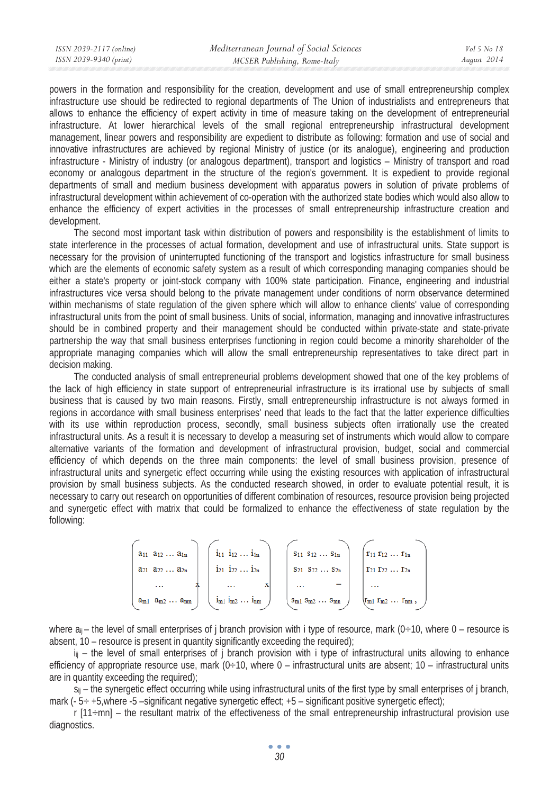powers in the formation and responsibility for the creation, development and use of small entrepreneurship complex infrastructure use should be redirected to regional departments of The Union of industrialists and entrepreneurs that allows to enhance the efficiency of expert activity in time of measure taking on the development of entrepreneurial infrastructure. At lower hierarchical levels of the small regional entrepreneurship infrastructural development management, linear powers and responsibility are expedient to distribute as following: formation and use of social and innovative infrastructures are achieved by regional Ministry of justice (or its analogue), engineering and production infrastructure - Ministry of industry (or analogous department), transport and logistics – Ministry of transport and road economy or analogous department in the structure of the region's government. It is expedient to provide regional departments of small and medium business development with apparatus powers in solution of private problems of infrastructural development within achievement of co-operation with the authorized state bodies which would also allow to enhance the efficiency of expert activities in the processes of small entrepreneurship infrastructure creation and development.

The second most important task within distribution of powers and responsibility is the establishment of limits to state interference in the processes of actual formation, development and use of infrastructural units. State support is necessary for the provision of uninterrupted functioning of the transport and logistics infrastructure for small business which are the elements of economic safety system as a result of which corresponding managing companies should be either a state's property or joint-stock company with 100% state participation. Finance, engineering and industrial infrastructures vice versa should belong to the private management under conditions of norm observance determined within mechanisms of state regulation of the given sphere which will allow to enhance clients' value of corresponding infrastructural units from the point of small business. Units of social, information, managing and innovative infrastructures should be in combined property and their management should be conducted within private-state and state-private partnership the way that small business enterprises functioning in region could become a minority shareholder of the appropriate managing companies which will allow the small entrepreneurship representatives to take direct part in decision making.

The conducted analysis of small entrepreneurial problems development showed that one of the key problems of the lack of high efficiency in state support of entrepreneurial infrastructure is its irrational use by subjects of small business that is caused by two main reasons. Firstly, small entrepreneurship infrastructure is not always formed in regions in accordance with small business enterprises' need that leads to the fact that the latter experience difficulties with its use within reproduction process, secondly, small business subjects often irrationally use the created infrastructural units. As a result it is necessary to develop a measuring set of instruments which would allow to compare alternative variants of the formation and development of infrastructural provision, budget, social and commercial efficiency of which depends on the three main components: the level of small business provision, presence of infrastructural units and synergetic effect occurring while using the existing resources with application of infrastructural provision by small business subjects. As the conducted research showed, in order to evaluate potential result, it is necessary to carry out research on opportunities of different combination of resources, resource provision being projected and synergetic effect with matrix that could be formalized to enhance the effectiveness of state regulation by the following:

| $a_{11} a_{12} \ldots a_{1n}$      | $i_{11}$ $i_{12}$ $i_{1n}$            | $S_{11} S_{12} \ldots S_{1n}$       | $r_{11} r_{12}  r_{1n}$                                                               |
|------------------------------------|---------------------------------------|-------------------------------------|---------------------------------------------------------------------------------------|
| $a_{21} a_{22} \ldots a_{2n}$      | $121 \quad 122 \quad \dots \quad 12n$ | $S_{21}$ $S_{22}$ $\ldots$ $S_{2n}$ | $T_{21} T_{22} \ldots T_{2n}$                                                         |
| $\cdots$                           | x<br>$\cdots$                         | =<br>                               | $\cdots$                                                                              |
| $a_{m1}$ $a_{m2}$ $\dots$ $a_{mn}$ | $i_{m1} i_{m2} \ldots i_{nm}$         | $S_{m1} S_{m2} \ldots S_{mn}$       | $\mathbf{r}_{\mathrm{m1}} \mathbf{r}_{\mathrm{m2}} \ldots \mathbf{r}_{\mathrm{mn}}$ , |

where  $a_{ii}$  – the level of small enterprises of j branch provision with i type of resource, mark (0÷10, where 0 – resource is absent, 10 – resource is present in quantity significantly exceeding the required);

 $i_{ii}$  – the level of small enterprises of j branch provision with i type of infrastructural units allowing to enhance efficiency of appropriate resource use, mark  $(0+10)$ , where  $0-$  infrastructural units are absent;  $10-$  infrastructural units are in quantity exceeding the required);

 $s_{\parallel}$  – the synergetic effect occurring while using infrastructural units of the first type by small enterprises of j branch, mark (- 5÷ +5,where -5 –significant negative synergetic effect; +5 – significant positive synergetic effect);

 $r$  [11 $\div$ mn] – the resultant matrix of the effectiveness of the small entrepreneurship infrastructural provision use diagnostics.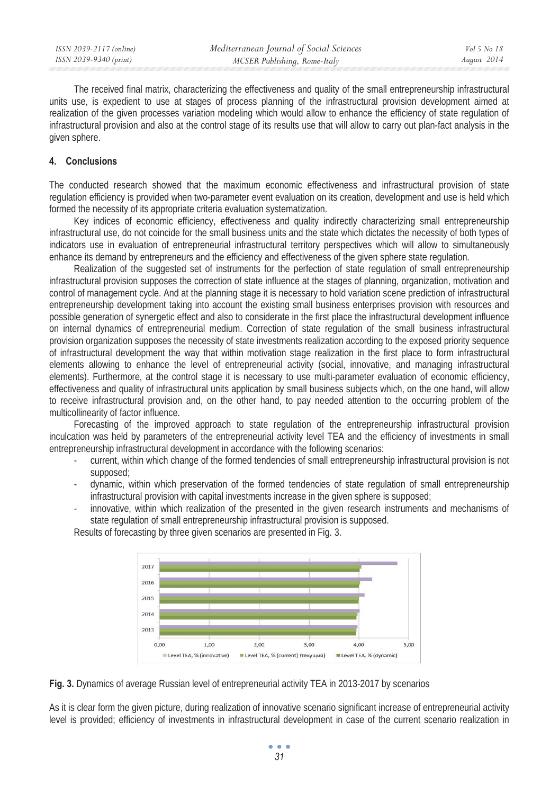The received final matrix, characterizing the effectiveness and quality of the small entrepreneurship infrastructural units use, is expedient to use at stages of process planning of the infrastructural provision development aimed at realization of the given processes variation modeling which would allow to enhance the efficiency of state regulation of infrastructural provision and also at the control stage of its results use that will allow to carry out plan-fact analysis in the given sphere.

### **4. Conclusions**

The conducted research showed that the maximum economic effectiveness and infrastructural provision of state regulation efficiency is provided when two-parameter event evaluation on its creation, development and use is held which formed the necessity of its appropriate criteria evaluation systematization.

Key indices of economic efficiency, effectiveness and quality indirectly characterizing small entrepreneurship infrastructural use, do not coincide for the small business units and the state which dictates the necessity of both types of indicators use in evaluation of entrepreneurial infrastructural territory perspectives which will allow to simultaneously enhance its demand by entrepreneurs and the efficiency and effectiveness of the given sphere state regulation.

Realization of the suggested set of instruments for the perfection of state regulation of small entrepreneurship infrastructural provision supposes the correction of state influence at the stages of planning, organization, motivation and control of management cycle. And at the planning stage it is necessary to hold variation scene prediction of infrastructural entrepreneurship development taking into account the existing small business enterprises provision with resources and possible generation of synergetic effect and also to considerate in the first place the infrastructural development influence on internal dynamics of entrepreneurial medium. Correction of state regulation of the small business infrastructural provision organization supposes the necessity of state investments realization according to the exposed priority sequence of infrastructural development the way that within motivation stage realization in the first place to form infrastructural elements allowing to enhance the level of entrepreneurial activity (social, innovative, and managing infrastructural elements). Furthermore, at the control stage it is necessary to use multi-parameter evaluation of economic efficiency, effectiveness and quality of infrastructural units application by small business subjects which, on the one hand, will allow to receive infrastructural provision and, on the other hand, to pay needed attention to the occurring problem of the multicollinearity of factor influence.

Forecasting of the improved approach to state regulation of the entrepreneurship infrastructural provision inculcation was held by parameters of the entrepreneurial activity level TEA and the efficiency of investments in small entrepreneurship infrastructural development in accordance with the following scenarios:

- current, within which change of the formed tendencies of small entrepreneurship infrastructural provision is not supposed;
- dynamic, within which preservation of the formed tendencies of state regulation of small entrepreneurship infrastructural provision with capital investments increase in the given sphere is supposed;
- innovative, within which realization of the presented in the given research instruments and mechanisms of state regulation of small entrepreneurship infrastructural provision is supposed.

Results of forecasting by three given scenarios are presented in Fig. 3.



**Fig. 3.** Dynamics of average Russian level of entrepreneurial activity TEA in 2013-2017 by scenarios

As it is clear form the given picture, during realization of innovative scenario significant increase of entrepreneurial activity level is provided; efficiency of investments in infrastructural development in case of the current scenario realization in